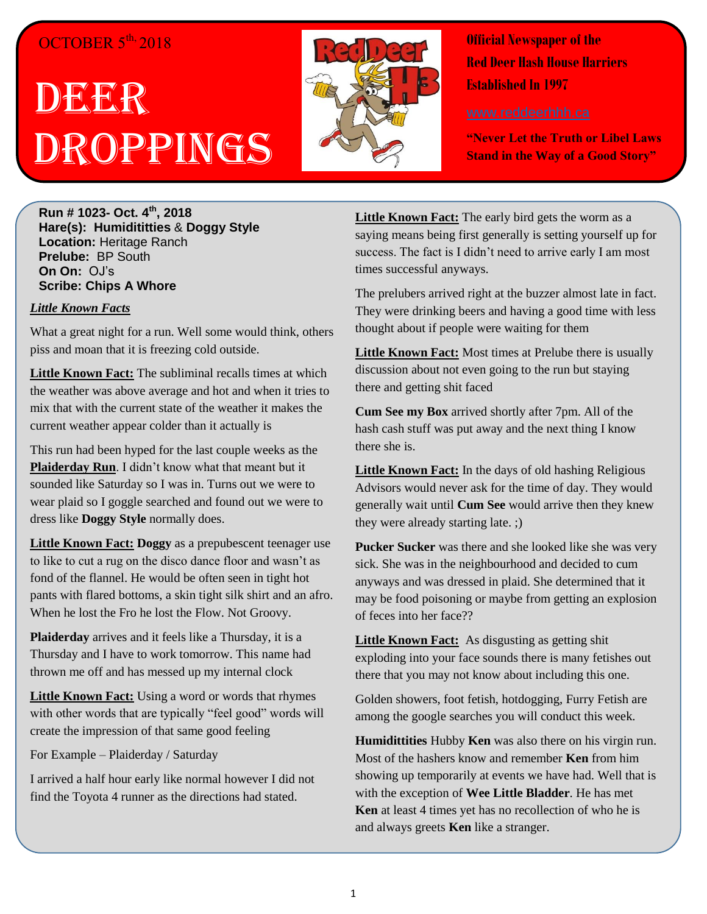## OCTOBER 5<sup>th,</sup> 2018

# DEGRE Droppings



**Official Newspaper of the Red Deer Hash House Harriers Established In 1997** 

**"Never Let the Truth or Libel Laws Stand in the Way of a Good Story"**

**Run # 1023- Oct. 4 th, 2018 Hare(s): Humidititties** & **Doggy Style Location:** Heritage Ranch **Prelube:** BP South **On On:** OJ's **Scribe: Chips A Whore**

#### *Little Known Facts*

What a great night for a run. Well some would think, others piss and moan that it is freezing cold outside.

**Little Known Fact:** The subliminal recalls times at which the weather was above average and hot and when it tries to mix that with the current state of the weather it makes the current weather appear colder than it actually is

This run had been hyped for the last couple weeks as the **Plaiderday Run**. I didn't know what that meant but it sounded like Saturday so I was in. Turns out we were to wear plaid so I goggle searched and found out we were to dress like **Doggy Style** normally does.

**Little Known Fact: Doggy** as a prepubescent teenager use to like to cut a rug on the disco dance floor and wasn't as fond of the flannel. He would be often seen in tight hot pants with flared bottoms, a skin tight silk shirt and an afro. When he lost the Fro he lost the Flow. Not Groovy.

**Plaiderday** arrives and it feels like a Thursday, it is a Thursday and I have to work tomorrow. This name had thrown me off and has messed up my internal clock

**Little Known Fact:** Using a word or words that rhymes with other words that are typically "feel good" words will create the impression of that same good feeling

For Example – Plaiderday / Saturday

I arrived a half hour early like normal however I did not find the Toyota 4 runner as the directions had stated.

Little Known Fact: The early bird gets the worm as a saying means being first generally is setting yourself up for success. The fact is I didn't need to arrive early I am most times successful anyways.

The prelubers arrived right at the buzzer almost late in fact. They were drinking beers and having a good time with less thought about if people were waiting for them

**Little Known Fact:** Most times at Prelube there is usually discussion about not even going to the run but staying there and getting shit faced

**Cum See my Box** arrived shortly after 7pm. All of the hash cash stuff was put away and the next thing I know there she is.

**Little Known Fact:** In the days of old hashing Religious Advisors would never ask for the time of day. They would generally wait until **Cum See** would arrive then they knew they were already starting late. ;)

**Pucker Sucker** was there and she looked like she was very sick. She was in the neighbourhood and decided to cum anyways and was dressed in plaid. She determined that it may be food poisoning or maybe from getting an explosion of feces into her face??

**Little Known Fact:** As disgusting as getting shit exploding into your face sounds there is many fetishes out there that you may not know about including this one.

Golden showers, foot fetish, hotdogging, Furry Fetish are among the google searches you will conduct this week.

**Humidittities** Hubby **Ken** was also there on his virgin run. Most of the hashers know and remember **Ken** from him showing up temporarily at events we have had. Well that is with the exception of **Wee Little Bladder**. He has met **Ken** at least 4 times yet has no recollection of who he is and always greets **Ken** like a stranger.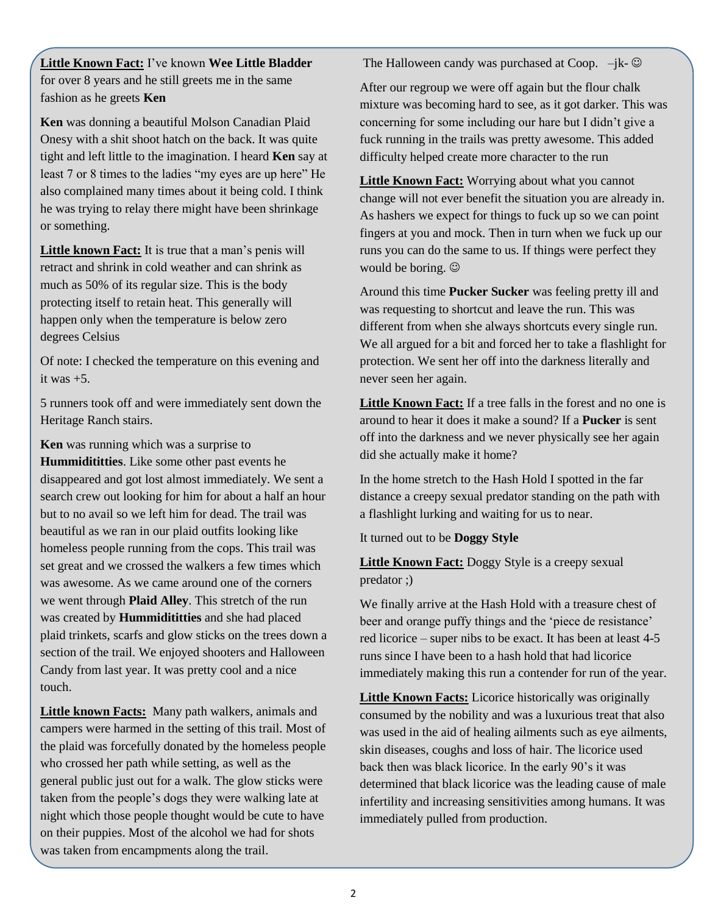**Little Known Fact:** I've known **Wee Little Bladder** for over 8 years and he still greets me in the same fashion as he greets **Ken**

**Ken** was donning a beautiful Molson Canadian Plaid Onesy with a shit shoot hatch on the back. It was quite tight and left little to the imagination. I heard **Ken** say at least 7 or 8 times to the ladies "my eyes are up here" He also complained many times about it being cold. I think he was trying to relay there might have been shrinkage or something.

**Little known Fact:** It is true that a man's penis will retract and shrink in cold weather and can shrink as much as 50% of its regular size. This is the body protecting itself to retain heat. This generally will happen only when the temperature is below zero degrees Celsius

Of note: I checked the temperature on this evening and it was +5.

5 runners took off and were immediately sent down the Heritage Ranch stairs.

**Ken** was running which was a surprise to **Hummidititties**. Like some other past events he disappeared and got lost almost immediately. We sent a search crew out looking for him for about a half an hour but to no avail so we left him for dead. The trail was beautiful as we ran in our plaid outfits looking like homeless people running from the cops. This trail was set great and we crossed the walkers a few times which was awesome. As we came around one of the corners we went through **Plaid Alley**. This stretch of the run was created by **Hummidititties** and she had placed plaid trinkets, scarfs and glow sticks on the trees down a section of the trail. We enjoyed shooters and Halloween Candy from last year. It was pretty cool and a nice touch.

**Little known Facts:** Many path walkers, animals and campers were harmed in the setting of this trail. Most of the plaid was forcefully donated by the homeless people who crossed her path while setting, as well as the general public just out for a walk. The glow sticks were taken from the people's dogs they were walking late at night which those people thought would be cute to have on their puppies. Most of the alcohol we had for shots was taken from encampments along the trail.

The Halloween candy was purchased at Coop.  $-jk-\hat{\odot}$ 

After our regroup we were off again but the flour chalk mixture was becoming hard to see, as it got darker. This was concerning for some including our hare but I didn't give a fuck running in the trails was pretty awesome. This added difficulty helped create more character to the run

**Little Known Fact:** Worrying about what you cannot change will not ever benefit the situation you are already in. As hashers we expect for things to fuck up so we can point fingers at you and mock. Then in turn when we fuck up our runs you can do the same to us. If things were perfect they would be boring.

Around this time **Pucker Sucker** was feeling pretty ill and was requesting to shortcut and leave the run. This was different from when she always shortcuts every single run. We all argued for a bit and forced her to take a flashlight for protection. We sent her off into the darkness literally and never seen her again.

**Little Known Fact:** If a tree falls in the forest and no one is around to hear it does it make a sound? If a **Pucker** is sent off into the darkness and we never physically see her again did she actually make it home?

In the home stretch to the Hash Hold I spotted in the far distance a creepy sexual predator standing on the path with a flashlight lurking and waiting for us to near.

It turned out to be **Doggy Style**

**Little Known Fact:** Doggy Style is a creepy sexual predator ;)

We finally arrive at the Hash Hold with a treasure chest of beer and orange puffy things and the 'piece de resistance' red licorice – super nibs to be exact. It has been at least 4-5 runs since I have been to a hash hold that had licorice immediately making this run a contender for run of the year.

**Little Known Facts:** Licorice historically was originally consumed by the nobility and was a luxurious treat that also was used in the aid of healing ailments such as eye ailments, skin diseases, coughs and loss of hair. The licorice used back then was black licorice. In the early 90's it was determined that black licorice was the leading cause of male infertility and increasing sensitivities among humans. It was immediately pulled from production.